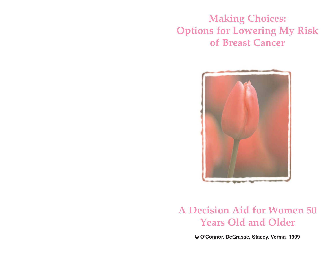**Making Choices: Options for Lowering My Risk of Breast Cancer**



# **A Decision Aid for Women 50 Years Old and Older**

**© O'Connor, DeGrasse, Stacey, Verma 1999**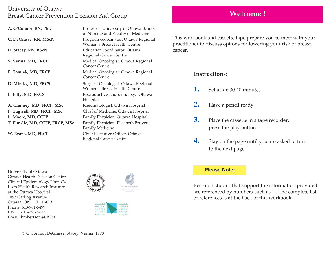## University of Ottawa Breast Cancer Prevention Decision Aid Group

| A. O'Connor, RN, PhD            | Professor, University of Ottawa School<br>of Nursing and Faculty of Medicine |
|---------------------------------|------------------------------------------------------------------------------|
| C. DeGrasse, RN, MScN           | Program coordinator, Ottawa Regional<br>Women's Breast Health Centre         |
| D. Stacey, RN, BScN             | Education coordinator, Ottawa<br>Regional Cancer Centre                      |
| S. Verma, MD, FRCP              | Medical Oncologist, Ottawa Regional<br>Cancer Centre                         |
| E. Tomiak, MD, FRCP             | Medical Oncologist, Ottawa Regional<br>Cancer Centre                         |
| D. Mirsky, MD, FRCS             | Surgical Oncologist, Ottawa Regional<br>Women's Breast Health Centre         |
| E. Jolly, MD, FRCS              | Reproductive Endocrinology, Ottawa<br>Hospital                               |
| A. Cranney, MD, FRCP, MSc       | Rheumatologist, Ottawa Hospital                                              |
| P. Tugwell, MD, FRCP, MSc       | Chief of Medicine, Ottawa Hospital                                           |
| L. Moore, MD, CCFP              | Family Physician, Ottawa Hospital                                            |
| T. Elmslie, MD, CCFP, FRCP, MSc | Family Physician, Elisabeth Bruyere<br><b>Family Medicine</b>                |
| W. Evans, MD, FRCP              | Chief Executive Officer, Ottawa<br>Regional Cancer Centre                    |

**Welcome !**

This workbook and cassette tape prepare you to meet with your practitioner to discuss options for lowering your risk of breast cancer.

## **Instructions:**

- **1.** Set aside 30-40 minutes.
- **2.** Have a pencil ready
- **3.** Place the cassette in a tape recorder, press the play button
- **4.** Stay on the page until you are asked to turn to the next page

#### University of Ottawa Ottawa Health Decision Centre Clinical Epidemiology Unit, C4 Loeb Health Research Institute at the Ottawa Hospital 1053 Carling Avenue Ottawa, ON K1Y 4E9 Phone: 613-761-5499 Fax: 613-761-5492 Email: krobertson@LRI.ca



OTTAWA **CENTER** REGIONAL **E**EGIONAL DI CANCER CANCEROLOGIE **CENTRE DIOTTAWA** We care for life by wins now lays

### **Please Note:**

Research studies that support the information provided are referenced by numbers such as "1". The complete list of references is at the back of this workbook.

© O'Connor, DeGrasse, Stacey, Verma 1998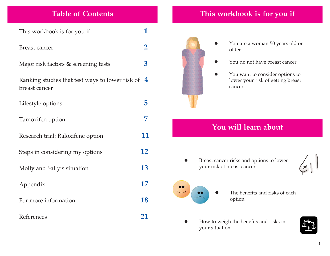# **Table of Contents**

This workbook is for you if... **1** 

## Breast cancer **2**

Major risk factors & screening tests **3**

Ranking studies that test ways to lower risk of **4** breast cancer

Lifestyle options **5**

- Tamoxifen option **7**
- Research trial: Raloxifene option **11**
- Steps in considering my options **12**
- Molly and Sally's situation **13**
- Appendix **17**
- For more information **18**
- References **21**

# **This workbook is for you if**



O

- O You are a woman 50 years old or older
- You do not have breast cancer
- O You want to consider options to lower your risk of getting breast cancer

## **You will learn about**

O Breast cancer risks and options to lower your risk of breast cancer

z

- 
- The benefits and risks of each option
- o How to weigh the benefits and risks in your situation

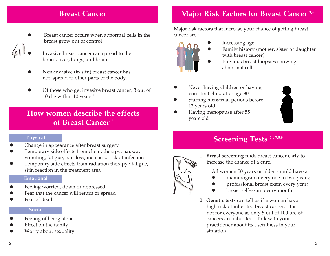## **Breast Cancer**

- O Breast cancer occurs when abnormal cells in the breast grow out of control
- O Invasive breast cancer can spread to the bones, liver, lungs, and brain
- O Non-invasive (in situ) breast cancer has not spread to other parts of the body.
- O Of those who get invasive breast cancer, 3 out of 10 die within 10 years  $1$

## **How women describe the effects of Breast Cancer 2**

### **Physical**

- O Change in appearance after breast surgery
- O Temporary side effects from chemotherapy: nausea, vomiting, fatigue, hair loss, increased risk of infection
- O Temporary side effects from radiation therapy : fatigue, skin reaction in the treatment area

## **Emotional**

- O Feeling worried, down or depressed
- O Fear that the cancer will return or spread
- O Fear of death

## **Social**

- O Feeling of being alone
- O Effect on the family
- O Worry about sexuality

# **Major Risk Factors for Breast Cancer 3,4**

Major risk factors that increase your chance of getting breast cancer are :



- Increasing age
- Family history (mother, sister or daughter with breast cancer)
- Previous breast biopsies showing abnormal cells
- O Never having children or having your first child after age 30
- O Starting menstrual periods before 12 years old
- O Having menopause after 55 years old

O



# **Screening Tests 5,6,7,8,9**



1. **Breast screening** finds breast cancer early to increase the chance of a cure.

All women 50 years or older should have a:

- O mammogram every one to two years;
- O professional breast exam every year;
- breast self-exam every month.
- 2. **Genetic tests** can tell us if a woman has a high risk of inherited breast cancer. It is not for everyone as only 5 out of 100 breast cancers are inherited. Talk with your practitioner about its usefulness in your situation.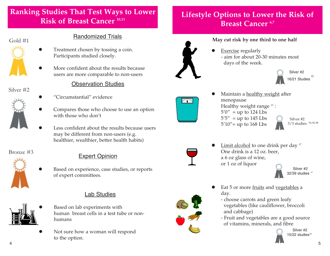# **Ranking Studies That Test Ways to Lower Risk of Breast Cancer 10,11**





## Randomized Trials

- O Treatment chosen by tossing a coin. Participants studied closely.
- O More confident about the results because users are more comparable to non-users

## Silver #2

O

o

o



- "Circumstantial" evidence
- O Compares those who choose to use an option with those who don't

Observation Studies

 Less confident about the results because users may be different from non-users (e.g. healthier, wealthier, better health habits)



# Bronze #3 Expert Opinion

 Based on experience, case studies, or reports of expert committees.

## Lab Studies



- Based on lab experiments with human breast cells in a test tube or nonhumans
- O Not sure how a woman will respond to the option.

# **Lifestyle Options to Lower the Risk of Breast Cancer 6,7**



## **May cut risk by one third to one half**

O Exercise regularly - aim for about 20-30 minutes most days of the week.





 Maintain a healthy weight after menopause Healthy weight range<sup>13</sup>:  $5'0''$  = up to 124 Lbs  $5'5''$  = up to 145 Lbs  $5'10'' =$  up to 168 Lbs



Silver #2 3/3 studies 14,15,16



Limit alcohol to one drink per day <sup>17</sup> One drink is a 12 oz. beer, a 6 oz glass of wine, or 1 oz of liquor



O

O

- O Eat 5 or more fruits and vegetables <sup>a</sup> day.
	- choose carrots and green leafy vegetables (like cauliflower, broccoli and cabbage)
	- Fruit and vegetables are a good source of vitamins, minerals, and fibre

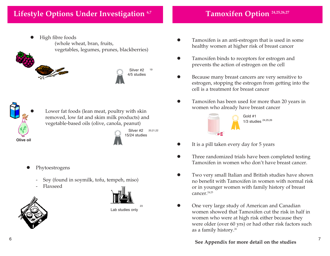O High fibre foods (whole wheat, bran, fruits, vegetables, legumes, prunes, blackberries)





19



 Lower fat foods (lean meat, poultry with skin removed, low fat and skim milk products) and vegetable-based oils (olive, canola, peanut)

> Silver #2 20,21,22 15/24 studies

> > 23

- z Phytoestrogens
	- -Soy (found in soymilk, tofu, tempeh, miso)
	- -Flaxseed





- Tamoxifen is an anti-estrogen that is used in some healthy women at higher risk of breast cancer
- $\bullet$  Tamoxifen binds to receptors for estrogen and prevents the action of estrogen on the cell
- O Because many breast cancers are very sensitive to estrogen, stopping the estrogen from getting into the cell is a treatment for breast cancer
- $\bullet$  Tamoxifen has been used for more than 20 years in women who already have breast cancer



- O It is a pill taken every day for 5 years
- $\bullet$  Three randomized trials have been completed testing Tamoxifen in women who don't have breast cancer.
- O Two very small Italian and British studies have shown no benefit with Tamoxifen in women with normal risk or in younger women with family history of breast cancer.<sup>24,25</sup>
- O One very large study of American and Canadian women showed that Tamoxifen cut the risk in half in women who were at high risk either because they were older (over 60 yrs) or had other risk factors such as a family history.26



## **Tamoxifen Option 24,25,26,27**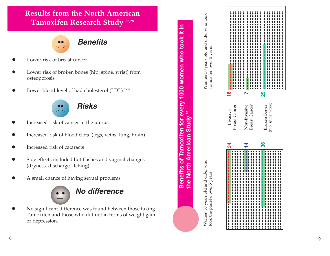

- O Lower risk of breast cancer
- O Lower risk of broken bones (hip, spine, wrist) from osteoporosis
- O Lower blood level of bad cholesterol (LDL)<sup>29,30</sup>

**Risks**

- O Increased risk of cancer in the uterus
- O Increased risk of blood clots. (legs, veins, lung, brain)
- o Increased risk of cataracts
- o Side effects included hot flashes and vaginal changes (dryness, discharge, itching)
- O A small chance of having sexual problems



O No significant difference was found between those taking Tamoxifen and those who did not in terms of weight gain or depression.



Women 50 years old and older who<br>took the placebo over 5 years Women 50 years old and older who took the placebo over 5 years

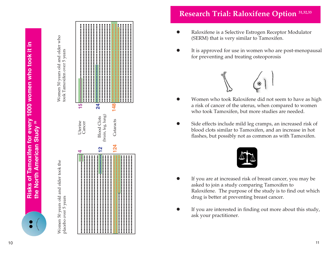





# **Research Trial: Raloxifene Option 31,32,33**

- O Raloxifene is a Selective Estrogen Receptor Modulator (SERM) that is very similar to Tamoxifen.
- O It is approved for use in women who are post-menopausal for preventing and treating osteoporosis



- O Women who took Raloxifene did not seem to have as high a risk of cancer of the uterus, when compared to women who took Tamoxifen, but more studies are needed.
- O Side effects include mild leg cramps, an increased risk of blood clots similar to Tamoxifen, and an increase in hot flashes, but possibly not as common as with Tamoxifen.



- If you are at increased risk of breast cancer, you may be asked to join a study comparing Tamoxifen to Raloxifene. The purpose of the study is to find out which drug is better at preventing breast cancer.
- O If you are interested in finding out more about this study, ask your practitioner.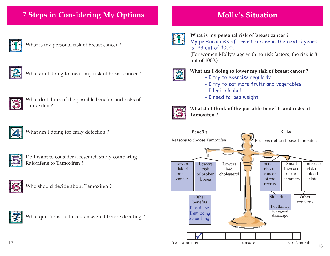# **7 Steps in Considering My Options**

What is my personal risk of breast cancer ?



What am I doing to lower my risk of breast cancer ?



What do I think of the possible benefits and risks of Tamoxifen ?



What am I doing for early detection ?



Do I want to consider a research study comparing Raloxifene to Tamoxifen ?



Who should decide about Tamoxifen ?



What questions do I need answered before deciding ?

### **What is my personal risk of breast cancer ?**

My personal risk of breast cancer in the next 5 years is: 23 out of 1000.

(For women Molly's age with no risk factors, the risk is 8 out of 1000.)



### **What am I doing to lower my risk of breast cancer ?**

- I try to exercise regularly
- I try to eat more fruits and vegetables
- I limit alcohol
- I need to lose weight



**What do I think of the possible benefits and risks of Tamoxifen ?**

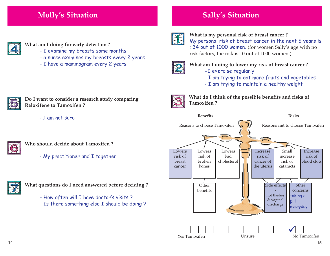# **Molly's Situation**

**What am I doing for early detection ?**

- I examine my breasts some months
- a nurse examines my breasts every 2 years
- I have a mammogram every 2 years



### **What is my personal risk of breast cancer ?**

My personal risk of breast cancer in the next 5 years is : 34 out of 1000 women. (for women Sally's age with no risk factors, the risk is 10 out of 1000 women.)



## **What am I doing to lower my risk of breast cancer ?**

**-**I exercise regularly

**Sally's Situation**

- I am trying to eat more fruits and vegetables
- I am trying to maintain a healthy weight



**Do I want to consider a research study comparing Raloxifene to Tamoxifen ?**

- I am not sure



- **Who should decide about Tamoxifen ?**
	- My practitioner and I together



**What questions do I need answered before deciding ?**

- How often will I have doctor's visits ?
- Is there something else I should be doing ?



**What do I think of the possible benefits and risks of Tamoxifen ?**

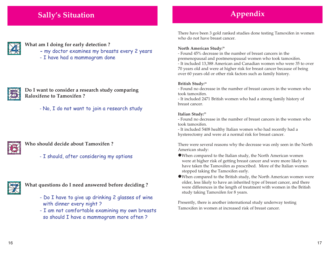## **Sally's Situation**



#### **What am I doing for early detection ?**

- **-** my doctor examines my breasts every 2 years
- I have had a mammogram done



### **Do I want to consider a research study comparing Raloxifene to Tamoxifen ?**

- No, I do not want to join a research study



## **Who should decide about Tamoxifen ?**

- I should, after considering my options



## **What questions do I need answered before deciding ?**

- Do I have to give up drinking 2 glasses of wine with dinner every night ?

- I am not comfortable examining my own breasts so should I have a mammogram more often ?

There have been 3 gold ranked studies done testing Tamoxifen in women who do not have breast cancer.

**Appendix**

#### **North American Study:26**

- Found 45% decrease in the number of breast cancers in the premenopausal and postmenopausal women who took tamoxifen. - It included 13,388 American and Canadian women who were 35 to over 70 years old and were at higher risk for breast cancer because of being over 60 years old or other risk factors such as family history.

#### **British Study:24**

- Found no decrease in the number of breast cancers in the women who took tamoxifen.

- It included 2471 British women who had a strong family history of breast cancer.

#### **Italian Study:25**

- Found no decrease in the number of breast cancers in the women who took tamoxifen.

- It included 5408 healthy Italian women who had recently had a hysterectomy and were at a normal risk for breast cancer.

There were several reasons why the decrease was only seen in the North American study:

- $\bullet$  When compared to the Italian study, the North American women were at higher risk of getting breast cancer and were more likely to have taken the Tamoxifen as prescribed. More of the Italian women stopped taking the Tamoxifen early.
- <sup>z</sup>When compared to the British study, the North American women were older, less likely to have an inherited type of breast cancer, and there were differences in the length of treatment with women in the British study taking Tamoxifen for 8 years.

Presently, there is another international study underway testing Tamoxifen in women at increased risk of breast cancer.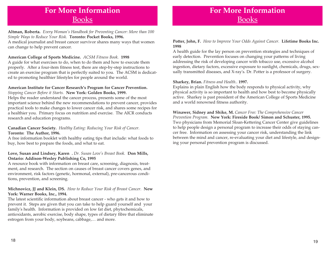## **For More Information** Books

## **Altman, Roberta.** *Every Woman's Handbook for Preventing Cancer: More than 100 Simple Ways to Reduce Your Risk.* **Toronto: Pocket Books, 1996.**

A medical journalist and breast cancer survivor shares many ways that women can change to help prevent cancer.

#### **American College of Sports Medicine.** *ACSM Fitness Book.* **<sup>1998</sup>**

A guide for what exercises to do, when to do them and how to execute them properly. After a four-item fitness test, there are step-by-step instructions to create an exercise program that is perfectly suited to you. The ACSM is dedicated to promoting healthier lifestyles for people around the world.

#### **American Institute for Cancer Research's Program for Cancer Prevention.** *Stopping Cancer Before it Starts.* **New York: Golden Books, 1999.**

Helps the reader understand the cancer process, presents some of the most important science behind the new recommendations to prevent cancer, provides practical tools to make changes to lower cancer risk, and shares some recipes for a healthier you. Primary focus on nutrition and exercise. The AICR conducts research and education programs.

#### **Canadian Cancer Society.** *Healthy Eating: Reducing Your Risk of Cancer.* **Toronto: The Author, 1996.**

A free information booklet with healthy eating tips that include: what foods to buy, how best to prepare the foods, and what to eat.

#### **Love, Susan and Lindsey, Karen .** *Dr. Susan Love's Breast Book.* **Don Mills, Ontario: Addison-Wesley Publishing Co, 1995**

A resource book with information on breast care, screening, diagnosis, treatment, and research. The section on causes of breast cancer covers genes, and environment, risk factors (genetic, hormonal, external), pre-cancerous conditions, prevention, and screening.

#### **Michnovicz, JJ and Klein, DS.** *How to Reduce Your Risk of Breast Cancer.* **New York: Warner Books, Inc., 1994.**

The latest scientific information about breast cancer - who gets it and how to prevent it. Steps are given that you can take to help guard yourself and your family's health. Information is provided on low fat diet, phytochemicals, antioxidants, aerobic exercise, body shape, types of dietary fibre that eliminate estrogen from your body, soybeans, cabbage,… and more.

# **For More Information** Books

**Potter, John, F.** *How to Improve Your Odds Against Cancer.* **Lifetime Books Inc. 1998**

A health guide for the lay person on prevention strategies and techniques of early detection. Prevention focuses on changing your patterns of living addressing the risk of developing cancer with tobacco use, excessive alcohol ingestion, dietary factors, excessive exposure to sunlight, chemicals, drugs, sexually transmitted diseases, and X-ray's. Dr. Potter is a professor of surgery.

#### **Sharkey, Brian.** *Fitness and Health..* **1997.**

Explains in plain English how the body responds to physical activity, why physical activity is so important to health and how best to become physically active. Sharkey is past president of the American College of Sports Medicine and a world renowned fitness authority.

**Winawer, Sidney and Shike, M.** *Cancer Free: The Comprehensive Cancer Prevention Program.* **New York: Fireside Book/ Simon and Schuster, 1995.** Two physicians from Memorial Sloan-Kettering Cancer Center give guidelines to help people design a personal program to increase their odds of staying cancer free. Information on assessing your cancer risk, understanding the link between the mind and cancer, re-evaluating your diet and lifestyle, and designing your personal prevention program is discussed.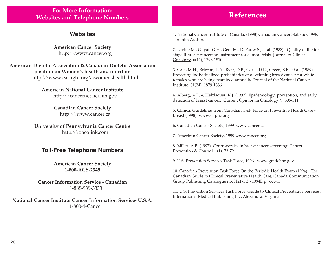## **For More Information: Websites and Telephone Numbers**

## **Websites**

**American Cancer Society** http:\\www.cancer.org

**American Dietetic Association & Canadian Dietetic Association position on Women's health and nutrition** http:\\www.eatright.org\awomenshealth.html

> **American National Cancer Institute** http:\\cancernet.nci.nih.gov

> > **Canadian Cancer Society** http:\\www.cancer.ca

**University of Pennsylvania Cancer Centre** http:\\oncolink.com

## **Toll-Free Telephone Numbers**

**American Cancer Society 1-800-ACS-2345**

**Cancer Information Service - Canadian** 1-888-939-3333

**National Cancer Institute Cancer Information Service- U.S.A.** 1-800-4-Cancer

## **References**

1. National Cancer Institute of Canada. (1998) Canadian Cancer Statistics 1998. Toronto: Author.

2. Levine M., Guyatt G.H., Gent M., DePauw S., et al. (1988). Quality of life for stage II breast cancer: an instrument for clinical trials. Journal of Clinical Oncology, 6(12), 1798-1810.

3. Gale, M.H., Brinton, L.A., Byar, D.P., Corle, D.K., Green, S.B., et al. (1989). Projecting individualized probabilities of developing breast cancer for white females who are being examined annually. Journal of the National Cancer Institute, 81(24), 1879-1886.

4. Alberg, A.J., & Helzlsouer, K.J. (1997). Epidemiology, prevention, and early detection of breast cancer. Current Opinion in Oncology, 9, 505-511.

5. Clinical Guidelines from Canadian Task Force on Preventive Health Care - Breast (1998) www.ctfphc.org

6. Canadian Cancer Society, 1999 www.cancer.ca

7. American Cancer Society, 1999 www.cancer.org

8. Miller, A.B. (1997). Controversies in breast cancer screening. Cancer Prevention & Control. 1(1), 73-79.

9. U.S. Prevention Services Task Force, 1996. www.guideline.gov

10. Canadian Prevention Task Force On the Periodic Health Exam (1994) - The Canadian Guide to Clinical Preventative Health Care, Canada Communication Group Publishing Catalogue no. H21-117/1994E p. xxxvii

11. U.S. Prevention Services Task Force. Guide to Clinical Preventative Services. International Medical Publishing Inc; Alexandra, Virginia.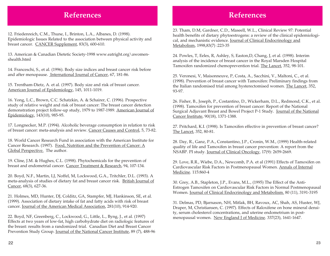## **References**

12. Friedenreich, C.M., Thune, I., Brinton, L.A., Albanes, D. (1998). Epidemiologic Issues Related to the association between physical activity and breast cancer. CANCER Supplement, 83(3), 600-610.

13. American & Canadian Dietetic Society-1998 www.eatright.org\awomenshealth.html

14. Franceschi, S., et al. (1996). Body size indices and breast cancer risk before and after menopause. International Journal of Cancer, 67, 181-86.

15. Trentham-Dietz, A. et al. (1997). Body size and risk of breast cancer. American Journal of Epidemiology, 145, 1011-1019.

16. Yong, L.C., Brown, C.C. Schatzkin, A. & Schairer, C. (1996). Prospective study of relative weight and risk of breast cancer: The breast cancer detection demonstration project follow-up study, 1979 to 1987-1989. American Journal of Epidemiology, 143(10), 985-95.

17. Longnecker, M.P. (1994). Alcoholic beverage consumption in relation to risk of breast cancer: meta-analysis and review. Cancer Causes and Control, 5, 73-82.

18. World Cancer Research Fund in association with the American Institute for Cancer Research. (1997). Food, Nutrition and the Prevention of Cancer: A Global Perspective. The author.

19. Cline, J.M. & Hughes, C.L. (1998). Phytochemicals for the prevention of breast and endometrial cancer. Cancer Treatment & Research, 94, 107-134.

20. Boyd, N.F., Martin, LJ, Noffel, M, Lockwood, G.A., Tritchler, D.L. (1993). A meta-analysis of studies of dietary fat and breast cancer risk. British Journal of Cancer, 68(3), 627-36.

21. Holmes, MD, Hunter, DJ, Colditz, GA, Stampfer, MJ, Hankinson, SE, et al. (1999). Association of dietary intake of fat and fatty acids with risk of breast cancer. Journal of the American Medical Association, 281(10), 914-920.

22. Boyd, NF, Greenberg, C., Lockwood, G., Little, L., Byng, J., et al. (1997) Effects at two years of low-fat, high carbohydrate diet on radiologic features of the breast: results from a randomized trial. Canadian Diet and Breast Cancer Prevention Study Group. Journal of the National Cancer Institute, 89 (7), 488-96

## **References**

23. Tham, D.M, Gardner, C.D., Maseell, W.L., Clinical Review 97: Potential health benefits of dietary phytoestrogens: a review of the clinical epidemiological, and mechanistic evidence. Journal of Clinical Endocrinology and Metabolism, 1998,83(7) :223-35

24. Powles, T, Eeles, R, Ashley, S, Easton,D, Chang, J, et al. (1998). Interim analysis of the incidence of breast cancer in the Royal Marsden Hospital Tamoxifen randomized chemoprevention trial. The Lancet, 352, 98-101.

25. Veronesi, V, Maisonneuve, P, Costa, A., Sacchini, V., Maltoni, C., et al. (1998). Prevention of breast cancer with Tamoxifen: Preliminary findings from the Italian randomised trial among hysterectomised women. The Lancet, 352, 93-97.

26. Fisher, B., Joseph, P., Costantino, D., Wickerham, D.L., Redmond, C.K., et al. (1998). Tamoxifen for prevention of breast cancer: Report of the National Surgical Adjuvant Breast and Bowel Project P-1 Study. Journal of the National Cancer Institute, 90(18), 1371-1388.

27. Pritchard, K.I. (1998). Is Tamoxifen effective in prevention of breast cancer? The Lancet, 352, 80-81.

28. Day, R., Ganz, P.A., Constantino, J.P., Cronin, W.M., (1999) Health-related quality of life and Tamoxifen in breast cancer prevention: A report from the NSABP. PI study. Journal of Clinical Oncology, 17(9): 2659-2669.

29. Love, R.R., Wiebe, D.A., Newcomb, P.A. et al (1991) Effects of Tamoxifen on Cardiovascular Risk Factors in Postmenopausal Women. Annals of Internal Medicine. 115:860-4

30. Grey, A.B., Stapleton, J.P., Evans, M.L., (1995) The Effect of the Anti-Estrogen Tamoxifen on Cardiovascular Risk Factors in Normal Postmenopausal Women. Journal of Clinical Endocrinology and Metabolism. 80 (11), 3191-3195

31. Delmas, PD, Bjarnason, NH, Mitlak, BH, Ravoux, AC, Shah, AS, Huster, WJ, Draper, M, Christiansen, C. (1997). Effects of Raloxifene on bone mineral density, serum cholesterol concentrations, and uterine endometrium in postmenopausal women. New England J of Medicine. 337(23), 1641-1647.